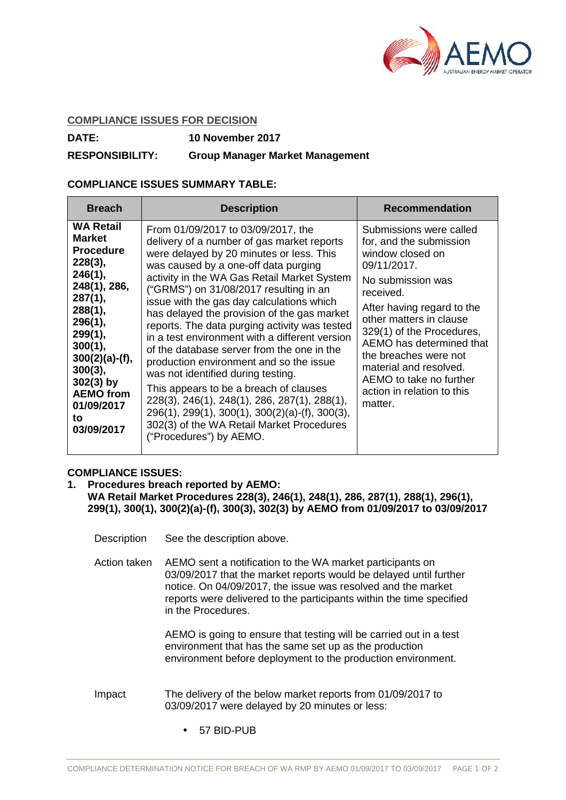

## **COMPLIANCE ISSUES FOR DECISION**

**DATE: 10 November 2017**

## **RESPONSIBILITY: Group Manager Market Management**

## **COMPLIANCE ISSUES SUMMARY TABLE:**

| <b>WA Retail</b><br>From 01/09/2017 to 03/09/2017, the<br>Submissions were called<br><b>Market</b><br>delivery of a number of gas market reports<br>for, and the submission<br><b>Procedure</b><br>were delayed by 20 minutes or less. This<br>window closed on<br>$228(3)$ ,<br>was caused by a one-off data purging<br>09/11/2017.<br>246(1),<br>activity in the WA Gas Retail Market System<br>No submission was<br>248(1), 286,<br>("GRMS") on 31/08/2017 resulting in an<br>received.<br>287(1),<br>issue with the gas day calculations which                                                                                                                                                                                                                                                                                                                                                           |
|--------------------------------------------------------------------------------------------------------------------------------------------------------------------------------------------------------------------------------------------------------------------------------------------------------------------------------------------------------------------------------------------------------------------------------------------------------------------------------------------------------------------------------------------------------------------------------------------------------------------------------------------------------------------------------------------------------------------------------------------------------------------------------------------------------------------------------------------------------------------------------------------------------------|
| After having regard to the<br>288(1),<br>has delayed the provision of the gas market<br>other matters in clause<br>296(1),<br>reports. The data purging activity was tested<br>329(1) of the Procedures,<br>299(1),<br>in a test environment with a different version<br>AEMO has determined that<br>300(1),<br>of the database server from the one in the<br>the breaches were not<br>$300(2)(a)-(f),$<br>production environment and so the issue<br>material and resolved.<br>$300(3)$ ,<br>was not identified during testing.<br>AEMO to take no further<br>$302(3)$ by<br>This appears to be a breach of clauses<br>action in relation to this<br><b>AEMO</b> from<br>228(3), 246(1), 248(1), 286, 287(1), 288(1),<br>matter.<br>01/09/2017<br>$296(1)$ , $299(1)$ , $300(1)$ , $300(2)(a)$ -(f), $300(3)$ ,<br>to<br>302(3) of the WA Retail Market Procedures<br>03/09/2017<br>("Procedures") by AEMO. |

## **COMPLIANCE ISSUES:**

- **1. Procedures breach reported by AEMO: WA Retail Market Procedures 228(3), 246(1), 248(1), 286, 287(1), 288(1), 296(1), 299(1), 300(1), 300(2)(a)-(f), 300(3), 302(3) by AEMO from 01/09/2017 to 03/09/2017**
	- Description See the description above.
	- Action taken AEMO sent a notification to the WA market participants on 03/09/2017 that the market reports would be delayed until further notice. On 04/09/2017, the issue was resolved and the market reports were delivered to the participants within the time specified in the Procedures.

AEMO is going to ensure that testing will be carried out in a test environment that has the same set up as the production environment before deployment to the production environment.

- Impact The delivery of the below market reports from 01/09/2017 to 03/09/2017 were delayed by 20 minutes or less:
	- 57 BID-PUB